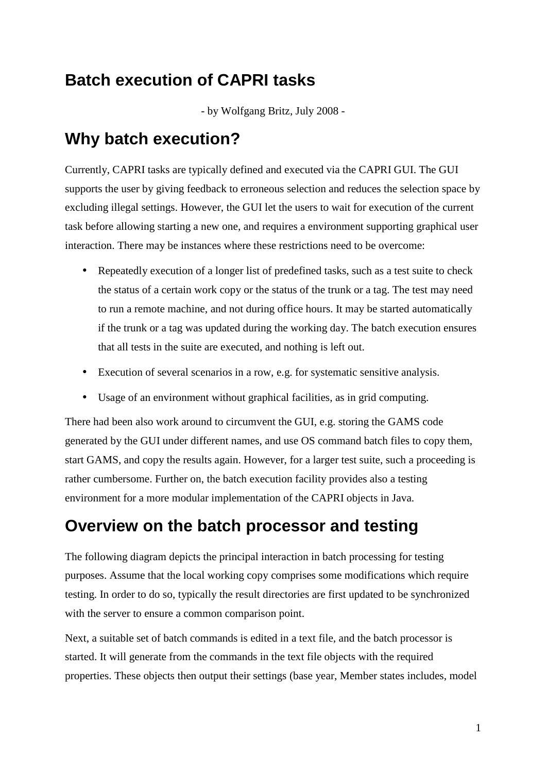# **Batch execution of CAPRI tasks**

- by Wolfgang Britz, July 2008 -

#### **Why batch execution?**

Currently, CAPRI tasks are typically defined and executed via the CAPRI GUI. The GUI supports the user by giving feedback to erroneous selection and reduces the selection space by excluding illegal settings. However, the GUI let the users to wait for execution of the current task before allowing starting a new one, and requires a environment supporting graphical user interaction. There may be instances where these restrictions need to be overcome:

- Repeatedly execution of a longer list of predefined tasks, such as a test suite to check the status of a certain work copy or the status of the trunk or a tag. The test may need to run a remote machine, and not during office hours. It may be started automatically if the trunk or a tag was updated during the working day. The batch execution ensures that all tests in the suite are executed, and nothing is left out.
- Execution of several scenarios in a row, e.g. for systematic sensitive analysis.
- Usage of an environment without graphical facilities, as in grid computing.

There had been also work around to circumvent the GUI, e.g. storing the GAMS code generated by the GUI under different names, and use OS command batch files to copy them, start GAMS, and copy the results again. However, for a larger test suite, such a proceeding is rather cumbersome. Further on, the batch execution facility provides also a testing environment for a more modular implementation of the CAPRI objects in Java.

#### **Overview on the batch processor and testing**

The following diagram depicts the principal interaction in batch processing for testing purposes. Assume that the local working copy comprises some modifications which require testing. In order to do so, typically the result directories are first updated to be synchronized with the server to ensure a common comparison point.

Next, a suitable set of batch commands is edited in a text file, and the batch processor is started. It will generate from the commands in the text file objects with the required properties. These objects then output their settings (base year, Member states includes, model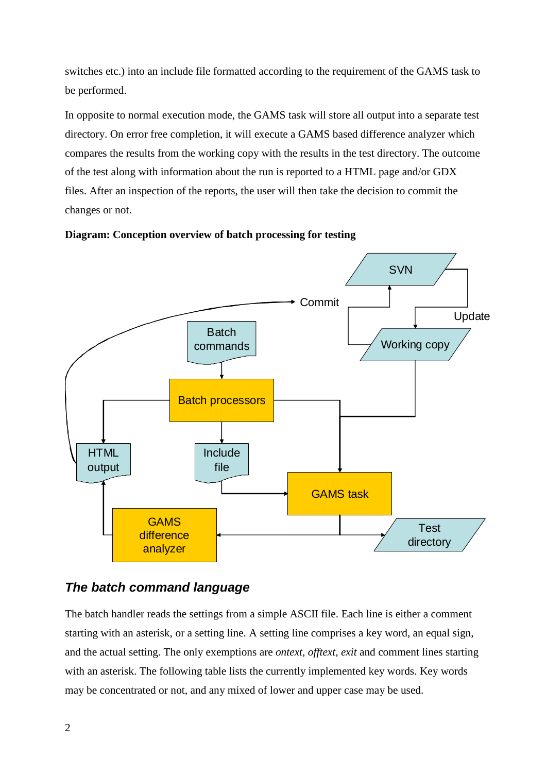switches etc.) into an include file formatted according to the requirement of the GAMS task to be performed.

In opposite to normal execution mode, the GAMS task will store all output into a separate test directory. On error free completion, it will execute a GAMS based difference analyzer which compares the results from the working copy with the results in the test directory. The outcome of the test along with information about the run is reported to a HTML page and/or GDX files. After an inspection of the reports, the user will then take the decision to commit the changes or not.





#### *The batch command language*

The batch handler reads the settings from a simple ASCII file. Each line is either a comment starting with an asterisk, or a setting line. A setting line comprises a key word, an equal sign, and the actual setting. The only exemptions are *ontext*, *offtext*, *exit* and comment lines starting with an asterisk. The following table lists the currently implemented key words. Key words may be concentrated or not, and any mixed of lower and upper case may be used.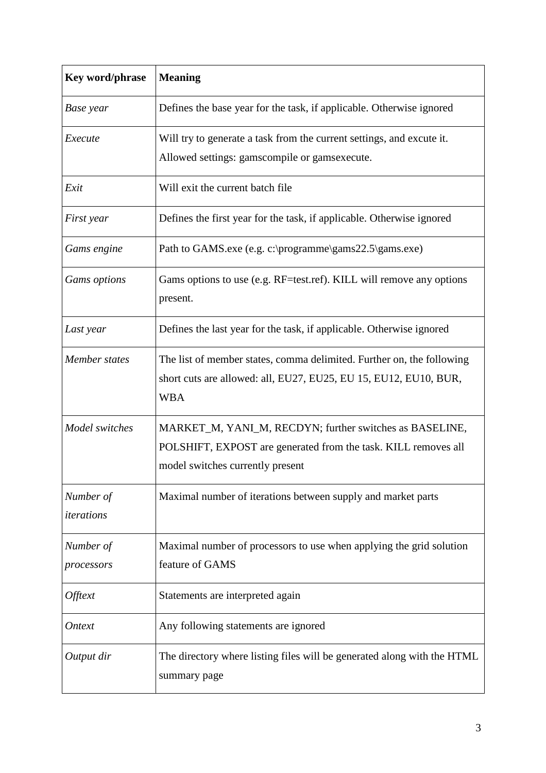| Key word/phrase         | <b>Meaning</b>                                                                                                                                                |  |  |  |  |  |  |  |  |
|-------------------------|---------------------------------------------------------------------------------------------------------------------------------------------------------------|--|--|--|--|--|--|--|--|
| Base year               | Defines the base year for the task, if applicable. Otherwise ignored                                                                                          |  |  |  |  |  |  |  |  |
| Execute                 | Will try to generate a task from the current settings, and excute it.                                                                                         |  |  |  |  |  |  |  |  |
|                         | Allowed settings: gamscompile or gamsexecute.                                                                                                                 |  |  |  |  |  |  |  |  |
| Exit                    | Will exit the current batch file                                                                                                                              |  |  |  |  |  |  |  |  |
| First year              | Defines the first year for the task, if applicable. Otherwise ignored                                                                                         |  |  |  |  |  |  |  |  |
| Gams engine             | Path to GAMS.exe (e.g. c:\programme\gams22.5\gams.exe)                                                                                                        |  |  |  |  |  |  |  |  |
| Gams options            | Gams options to use (e.g. RF=test.ref). KILL will remove any options<br>present.                                                                              |  |  |  |  |  |  |  |  |
| Last year               | Defines the last year for the task, if applicable. Otherwise ignored                                                                                          |  |  |  |  |  |  |  |  |
| Member states           | The list of member states, comma delimited. Further on, the following<br>short cuts are allowed: all, EU27, EU25, EU 15, EU12, EU10, BUR,<br><b>WBA</b>       |  |  |  |  |  |  |  |  |
| Model switches          | MARKET_M, YANI_M, RECDYN; further switches as BASELINE,<br>POLSHIFT, EXPOST are generated from the task. KILL removes all<br>model switches currently present |  |  |  |  |  |  |  |  |
| Number of<br>iterations | Maximal number of iterations between supply and market parts                                                                                                  |  |  |  |  |  |  |  |  |
| Number of               | Maximal number of processors to use when applying the grid solution                                                                                           |  |  |  |  |  |  |  |  |
| processors              | feature of GAMS                                                                                                                                               |  |  |  |  |  |  |  |  |
| Offtext                 | Statements are interpreted again                                                                                                                              |  |  |  |  |  |  |  |  |
| <i>Ontext</i>           | Any following statements are ignored                                                                                                                          |  |  |  |  |  |  |  |  |
| Output dir              | The directory where listing files will be generated along with the HTML<br>summary page                                                                       |  |  |  |  |  |  |  |  |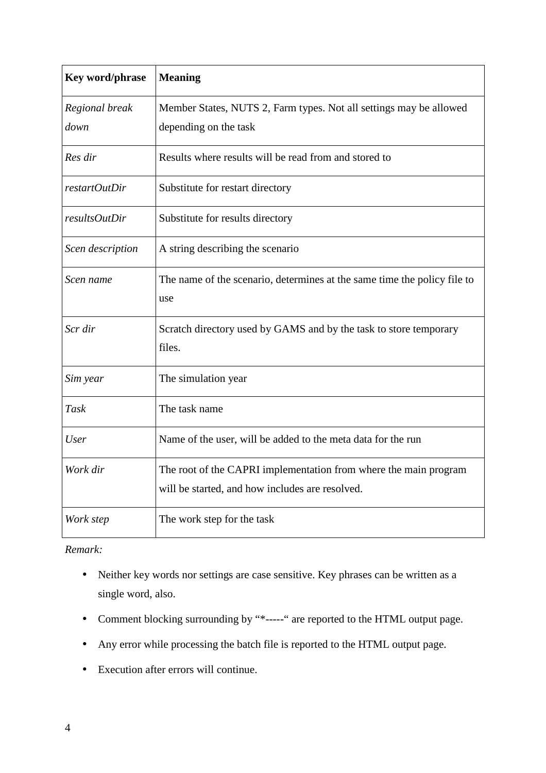| Key word/phrase  | <b>Meaning</b>                                                                  |  |  |  |  |  |  |  |
|------------------|---------------------------------------------------------------------------------|--|--|--|--|--|--|--|
| Regional break   | Member States, NUTS 2, Farm types. Not all settings may be allowed              |  |  |  |  |  |  |  |
| down             | depending on the task                                                           |  |  |  |  |  |  |  |
| Res dir          | Results where results will be read from and stored to                           |  |  |  |  |  |  |  |
| restartOutDir    | Substitute for restart directory                                                |  |  |  |  |  |  |  |
| resultsOutDir    | Substitute for results directory                                                |  |  |  |  |  |  |  |
| Scen description | A string describing the scenario                                                |  |  |  |  |  |  |  |
| Scen name        | The name of the scenario, determines at the same time the policy file to<br>use |  |  |  |  |  |  |  |
| Scr dir          | Scratch directory used by GAMS and by the task to store temporary<br>files.     |  |  |  |  |  |  |  |
| Sim year         | The simulation year                                                             |  |  |  |  |  |  |  |
| Task             | The task name                                                                   |  |  |  |  |  |  |  |
| <b>User</b>      | Name of the user, will be added to the meta data for the run                    |  |  |  |  |  |  |  |
| Work dir         | The root of the CAPRI implementation from where the main program                |  |  |  |  |  |  |  |
|                  | will be started, and how includes are resolved.                                 |  |  |  |  |  |  |  |
| Work step        | The work step for the task                                                      |  |  |  |  |  |  |  |

*Remark:* 

- Neither key words nor settings are case sensitive. Key phrases can be written as a single word, also.
- Comment blocking surrounding by "\*-----" are reported to the HTML output page.
- Any error while processing the batch file is reported to the HTML output page.
- Execution after errors will continue.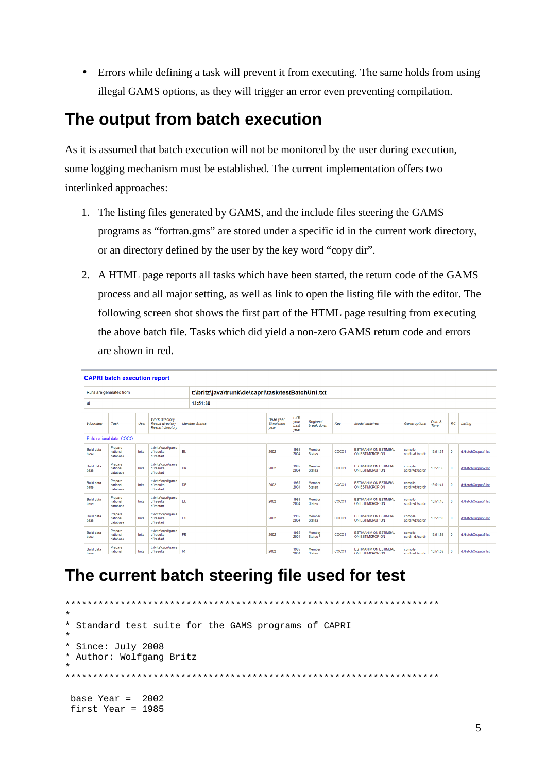• Errors while defining a task will prevent it from executing. The same holds from using illegal GAMS options, as they will trigger an error even preventing compilation.

## **The output from batch execution**

As it is assumed that batch execution will not be monitored by the user during execution, some logging mechanism must be established. The current implementation offers two interlinked approaches:

- 1. The listing files generated by GAMS, and the include files steering the GAMS programs as "fortran.gms" are stored under a specific id in the current work directory, or an directory defined by the user by the key word "copy dir".
- 2. A HTML page reports all tasks which have been started, the return code of the GAMS process and all major setting, as well as link to open the listing file with the editor. The following screen shot shows the first part of the HTML page resulting from executing the above batch file. Tasks which did yield a non-zero GAMS return code and errors are shown in red.

| <b>CAPRI batch execution report</b> |                                 |       |                                                                       |           |                                                    |                                        |                               |                         |       |                                                 |                             |                |              |                      |
|-------------------------------------|---------------------------------|-------|-----------------------------------------------------------------------|-----------|----------------------------------------------------|----------------------------------------|-------------------------------|-------------------------|-------|-------------------------------------------------|-----------------------------|----------------|--------------|----------------------|
| Runs are generated from             |                                 |       |                                                                       |           | t:\britz\java\trunk\de\capri\task\testBatchUni.txt |                                        |                               |                         |       |                                                 |                             |                |              |                      |
| at                                  |                                 |       |                                                                       | 13:51:30  |                                                    |                                        |                               |                         |       |                                                 |                             |                |              |                      |
| Workstep                            | Task                            | User  | Work directory<br><b>Result directory</b><br><b>Restart directory</b> |           | <b>Member States</b>                               | <b>Base</b> year<br>Simulation<br>year | First<br>year<br>Last<br>year | Regional<br>break down  | Key   | <b>Model switches</b>                           | Gams options                | Date &<br>Time | RC           | Listing              |
|                                     | Build national data: COCO       |       |                                                                       |           |                                                    |                                        |                               |                         |       |                                                 |                             |                |              |                      |
| <b>Build data</b><br>base           | Prepare<br>national<br>database | britz | t:\britz\capri\gams<br>d:\results<br>d:\restart                       | <b>BL</b> |                                                    | 2002                                   | 1985<br>2004                  | Member<br><b>States</b> | COCO1 | <b>ESTIMANIM ON ESTIMBAL</b><br>ON ESTIMCROP ON | compile<br>scrdir=d:\scrdir | 13:51:31       | $\mathbf{0}$ | d:\batchOutput\1.lst |
| <b>Build data</b><br>base           | Prepare<br>national<br>database | britz | t:\britz\capri\gams<br>d:\results<br>d:\restart                       | DK        |                                                    | 2002                                   | 1985<br>2004                  | Member<br><b>States</b> | COCO1 | <b>ESTIMANIM ON ESTIMBAL</b><br>ON ESTIMCROP ON | compile<br>scrdir=d:\scrdir | 13:51:36       | $\mathbf{0}$ | d:\batchOutput\2.lst |
| <b>Build data</b><br>base           | Prepare<br>national<br>database | britz | t:\britz\capri\gams<br>d:\results<br>d:\restart                       | DE        |                                                    | 2002                                   | 1985<br>2004                  | Member<br><b>States</b> | COCO1 | <b>ESTIMANIM ON ESTIMBAL</b><br>ON ESTIMCROP ON | compile<br>scrdir=d:\scrdir | 13:51:41       | $\mathbf{0}$ | d:\batchOutput\3.lst |
| <b>Build data</b><br>base           | Prepare<br>national<br>database | britz | t:\britz\capri\gams<br>d:\results<br>d:\restart                       | EL.       |                                                    | 2002                                   | 1985<br>2004                  | Member<br><b>States</b> | COCO1 | <b>ESTIMANIM ON ESTIMBAL</b><br>ON ESTIMCROP ON | compile<br>scrdir=d:\scrdir | 13:51:45       |              | d:\batchOutput\4.lst |
| <b>Build data</b><br>base           | Prepare<br>national<br>database | britz | t:\britz\capri\gams<br>d:\results<br>d:\restart                       | ES        |                                                    | 2002                                   | 1985<br>2004                  | Member<br><b>States</b> | COCO1 | <b>ESTIMANIM ON ESTIMBAL</b><br>ON ESTIMCROP ON | compile<br>scrdir=d:\scrdir | 13:51:50       |              | d:\batchOutput\5.lst |
| <b>Build data</b><br>base           | Prepare<br>national<br>database | britz | t:\britz\capri\gams<br>d:\results<br>d:\restart                       | <b>FR</b> |                                                    | 2002                                   | 1985<br>2004                  | Member<br>States L      | COCO1 | <b>ESTIMANIM ON ESTIMBAL</b><br>ON ESTIMCROP ON | compile<br>scrdir=d:\scrdir | 13:51:55       | $\mathbf{0}$ | d:\batchOutput\6.lst |
| <b>Build data</b><br>hase           | Prepare<br>national             | britz | t:\britz\capri\gams<br>d:\results                                     | IR        |                                                    | 2002                                   | 1985<br>2004                  | Member<br>States        | COCO1 | <b>ESTIMANIM ON ESTIMBAL</b><br>ON ESTIMCROP ON | compile<br>scrdir=d:\scrdir | 13:51:59       | $\mathbf{0}$ | d:\batchOutput\7.lst |

## **The current batch steering file used for test**

```
********************************************************************
*
* Standard test suite for the GAMS programs of CAPRI
*
* Since: July 2008
* Author: Wolfgang Britz
*
********************************************************************
base Year = 2002 first Year = 1985
```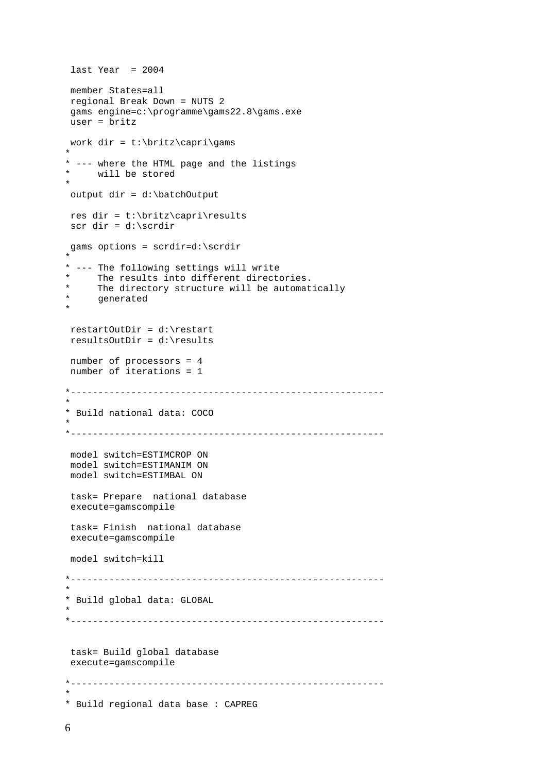```
last Year = 2004 member States=all
 regional Break Down = NUTS 2
gams engine=c:\programme\gams22.8\gams.exe
 user = britz
work dir = t:\britz\capri\gams
*
* --- where the HTML page and the listings<br>* will be stored
    will be stored
* 
 output dir = d:\batchOutput
 res dir = t:\britz\capri\results
 scr dir = d:\scrdir
 gams options = scrdir=d:\scrdir
*
* --- The following settings will write 
* The results into different directories.
* The directory structure will be automatically
* generated 
* 
 restartOutDir = d:\restart
 resultsOutDir = d:\results
 number of processors = 4
 number of iterations = 1
   *---------------------------------------------------------
* 
* Build national data: COCO
*
*---------------------------------------------------------
 model switch=ESTIMCROP ON
 model switch=ESTIMANIM ON
 model switch=ESTIMBAL ON
 task= Prepare national database
 execute=gamscompile 
 task= Finish national database
 execute=gamscompile
 model switch=kill
*---------------------------------------------------------
* 
* Build global data: GLOBAL
*
*---------------------------------------------------------
 task= Build global database
 execute=gamscompile
*---------------------------------------------------------
* 
* Build regional data base : CAPREG
```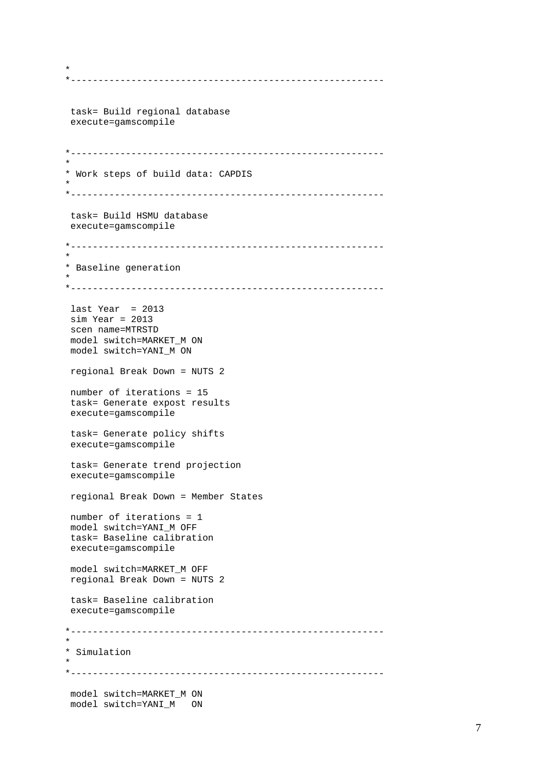```
*---------------------------------------------------------
 task= Build regional database
 execute=gamscompile
*---------------------------------------------------------
* 
* Work steps of build data: CAPDIS
*
*---------------------------------------------------------
 task= Build HSMU database
 execute=gamscompile
*---------------------------------------------------------
* 
* Baseline generation
*
*---------------------------------------------------------
 last Year = 2013
 sim Year = 2013
 scen name=MTRSTD
 model switch=MARKET_M ON
model switch=YANI_M ON
 regional Break Down = NUTS 2
 number of iterations = 15
 task= Generate expost results 
 execute=gamscompile
 task= Generate policy shifts
 execute=gamscompile
 task= Generate trend projection
 execute=gamscompile
 regional Break Down = Member States
 number of iterations = 1
 model switch=YANI_M OFF
 task= Baseline calibration
 execute=gamscompile
 model switch=MARKET_M OFF
 regional Break Down = NUTS 2
 task= Baseline calibration
 execute=gamscompile
*---------------------------------------------------------
* 
* Simulation
*
                        *---------------------------------------------------------
 model switch=MARKET_M ON
 model switch=YANI_M ON
```
\*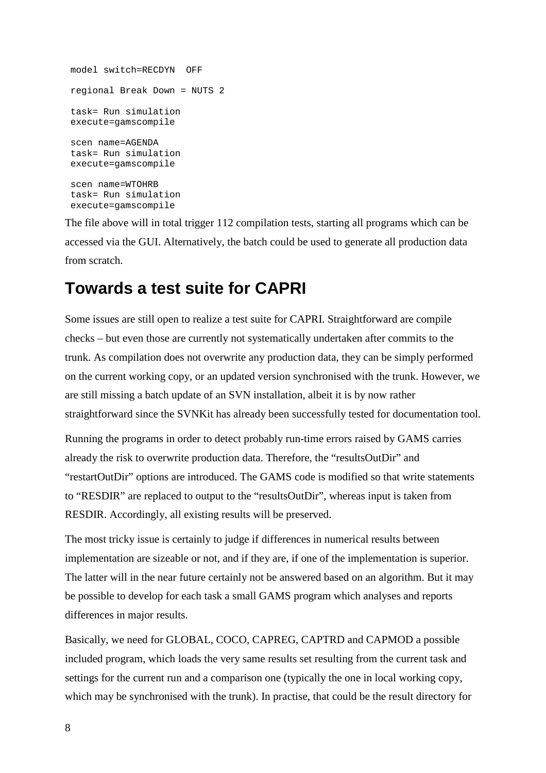```
 model switch=RECDYN OFF
 regional Break Down = NUTS 2
 task= Run simulation
 execute=gamscompile
 scen name=AGENDA
 task= Run simulation
 execute=gamscompile
 scen name=WTOHRB
 task= Run simulation
 execute=gamscompile
```
The file above will in total trigger 112 compilation tests, starting all programs which can be accessed via the GUI. Alternatively, the batch could be used to generate all production data from scratch.

#### **Towards a test suite for CAPRI**

Some issues are still open to realize a test suite for CAPRI. Straightforward are compile checks – but even those are currently not systematically undertaken after commits to the trunk. As compilation does not overwrite any production data, they can be simply performed on the current working copy, or an updated version synchronised with the trunk. However, we are still missing a batch update of an SVN installation, albeit it is by now rather straightforward since the SVNKit has already been successfully tested for documentation tool.

Running the programs in order to detect probably run-time errors raised by GAMS carries already the risk to overwrite production data. Therefore, the "resultsOutDir" and "restartOutDir" options are introduced. The GAMS code is modified so that write statements to "RESDIR" are replaced to output to the "resultsOutDir", whereas input is taken from RESDIR. Accordingly, all existing results will be preserved.

The most tricky issue is certainly to judge if differences in numerical results between implementation are sizeable or not, and if they are, if one of the implementation is superior. The latter will in the near future certainly not be answered based on an algorithm. But it may be possible to develop for each task a small GAMS program which analyses and reports differences in major results.

Basically, we need for GLOBAL, COCO, CAPREG, CAPTRD and CAPMOD a possible included program, which loads the very same results set resulting from the current task and settings for the current run and a comparison one (typically the one in local working copy, which may be synchronised with the trunk). In practise, that could be the result directory for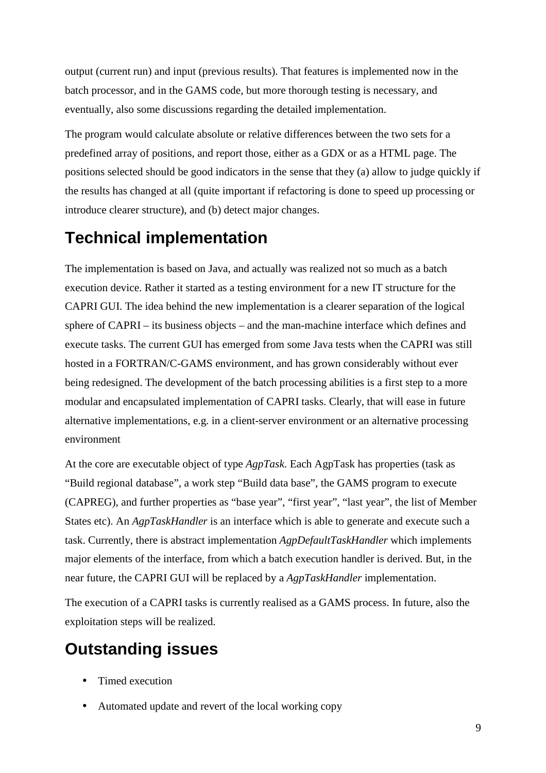output (current run) and input (previous results). That features is implemented now in the batch processor, and in the GAMS code, but more thorough testing is necessary, and eventually, also some discussions regarding the detailed implementation.

The program would calculate absolute or relative differences between the two sets for a predefined array of positions, and report those, either as a GDX or as a HTML page. The positions selected should be good indicators in the sense that they (a) allow to judge quickly if the results has changed at all (quite important if refactoring is done to speed up processing or introduce clearer structure), and (b) detect major changes.

#### **Technical implementation**

The implementation is based on Java, and actually was realized not so much as a batch execution device. Rather it started as a testing environment for a new IT structure for the CAPRI GUI. The idea behind the new implementation is a clearer separation of the logical sphere of CAPRI – its business objects – and the man-machine interface which defines and execute tasks. The current GUI has emerged from some Java tests when the CAPRI was still hosted in a FORTRAN/C-GAMS environment, and has grown considerably without ever being redesigned. The development of the batch processing abilities is a first step to a more modular and encapsulated implementation of CAPRI tasks. Clearly, that will ease in future alternative implementations, e.g. in a client-server environment or an alternative processing environment

At the core are executable object of type *AgpTask*. Each AgpTask has properties (task as "Build regional database", a work step "Build data base", the GAMS program to execute (CAPREG), and further properties as "base year", "first year", "last year", the list of Member States etc). An *AgpTaskHandler* is an interface which is able to generate and execute such a task. Currently, there is abstract implementation *AgpDefaultTaskHandler* which implements major elements of the interface, from which a batch execution handler is derived. But, in the near future, the CAPRI GUI will be replaced by a *AgpTaskHandler* implementation.

The execution of a CAPRI tasks is currently realised as a GAMS process. In future, also the exploitation steps will be realized.

## **Outstanding issues**

- Timed execution
- Automated update and revert of the local working copy